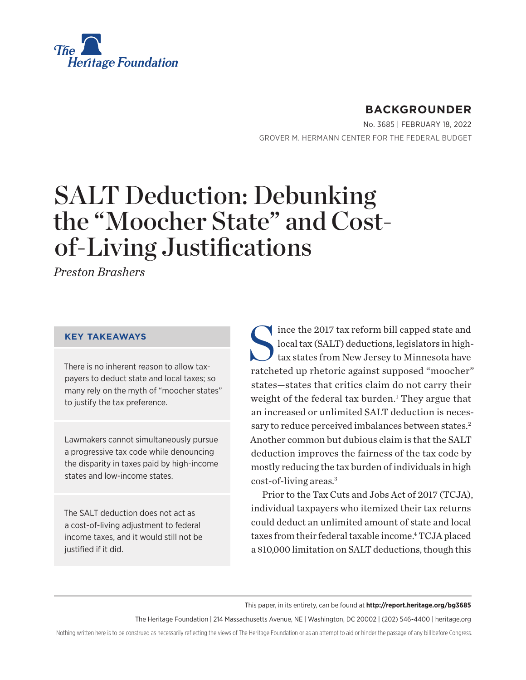<span id="page-0-0"></span>

# **BACKGROUNDER**

No. 3685 | February 18, 2022 GROVER M. HERMANN CENTER FOR THE FEDERAL BUDGET

# SALT Deduction: Debunking the "Moocher State" and Costof-Living Justifications

*Preston Brashers*

### **KEY TAKEAWAYS**

There is no inherent reason to allow taxpayers to deduct state and local taxes; so many rely on the myth of "moocher states" to justify the tax preference.

Lawmakers cannot simultaneously pursue a progressive tax code while denouncing the disparity in taxes paid by high-income states and low-income states.

The SALT deduction does not act as a cost-of-living adjustment to federal income taxes, and it would still not be justified if it did.

Since the 2017 tax reform bill capped state and<br>local tax (SALT) deductions, legislators in high-<br>tax states from New Jersey to Minnesota have local tax (SALT) deductions, legislators in hightax states from New Jersey to Minnesota have ratcheted up rhetoric against supposed "moocher" states—states that critics claim do not carry their weight of the federal tax burden.<sup>[1](#page-18-0)</sup> They argue that an increased or unlimited SALT deduction is neces-sary to reduce perceived imbalances between states.<sup>[2](#page-18-0)</sup> Another common but dubious claim is that the SALT deduction improves the fairness of the tax code by mostly reducing the tax burden of individuals in high cost-of-living areas[.3](#page-18-0)

Prior to the Tax Cuts and Jobs Act of 2017 (TCJA), individual taxpayers who itemized their tax returns could deduct an unlimited amount of state and local taxes from their federal taxable income.<sup>4</sup> TCJA placed a \$10,000 limitation on SALT deductions, though this

This paper, in its entirety, can be found at **http://report.heritage.org/bg3685**

The Heritage Foundation | 214 Massachusetts Avenue, NE | Washington, DC 20002 | (202) 546-4400 | [heritage.org](https://www.hhs.gov/about/news/2018/09/24/statement-from-the-department-of-health-and-human-services.html)

Nothing written here is to be construed as necessarily reflecting the views of The Heritage Foundation or as an attempt to aid or hinder the passage of any bill before Congress.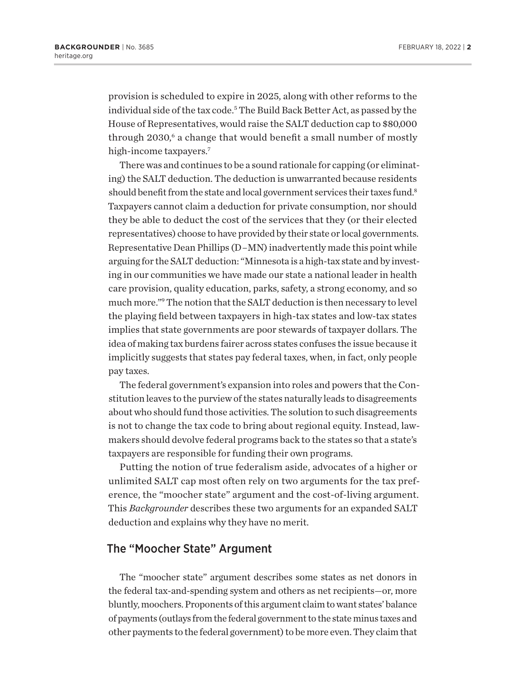<span id="page-1-0"></span>provision is scheduled to expire in 2025, along with other reforms to the individual side of the tax code.<sup>[5](#page-18-0)</sup> The Build Back Better Act, as passed by the House of Representatives, would raise the SALT deduction cap to \$80,000 through 2030,<sup>[6](#page-18-0)</sup> a change that would benefit a small number of mostly high-income taxpayers.<sup>[7](#page-18-0)</sup>

There was and continues to be a sound rationale for capping (or eliminating) the SALT deduction. The deduction is unwarranted because residents should benefit from the state and local government services their taxes fund.<sup>8</sup> Taxpayers cannot claim a deduction for private consumption, nor should they be able to deduct the cost of the services that they (or their elected representatives) choose to have provided by their state or local governments. Representative Dean Phillips (D–MN) inadvertently made this point while arguing for the SALT deduction: "Minnesota is a high-tax state and by investing in our communities we have made our state a national leader in health care provision, quality education, parks, safety, a strong economy, and so much more.["9](#page-18-0) The notion that the SALT deduction is then necessary to level the playing field between taxpayers in high-tax states and low-tax states implies that state governments are poor stewards of taxpayer dollars. The idea of making tax burdens fairer across states confuses the issue because it implicitly suggests that states pay federal taxes, when, in fact, only people pay taxes.

The federal government's expansion into roles and powers that the Constitution leaves to the purview of the states naturally leads to disagreements about who should fund those activities. The solution to such disagreements is not to change the tax code to bring about regional equity. Instead, lawmakers should devolve federal programs back to the states so that a state's taxpayers are responsible for funding their own programs.

Putting the notion of true federalism aside, advocates of a higher or unlimited SALT cap most often rely on two arguments for the tax preference, the "moocher state" argument and the cost-of-living argument. This *Backgrounder* describes these two arguments for an expanded SALT deduction and explains why they have no merit.

### The "Moocher State" Argument

The "moocher state" argument describes some states as net donors in the federal tax-and-spending system and others as net recipients—or, more bluntly, moochers. Proponents of this argument claim to want states' balance of payments (outlays from the federal government to the state minus taxes and other payments to the federal government) to be more even. They claim that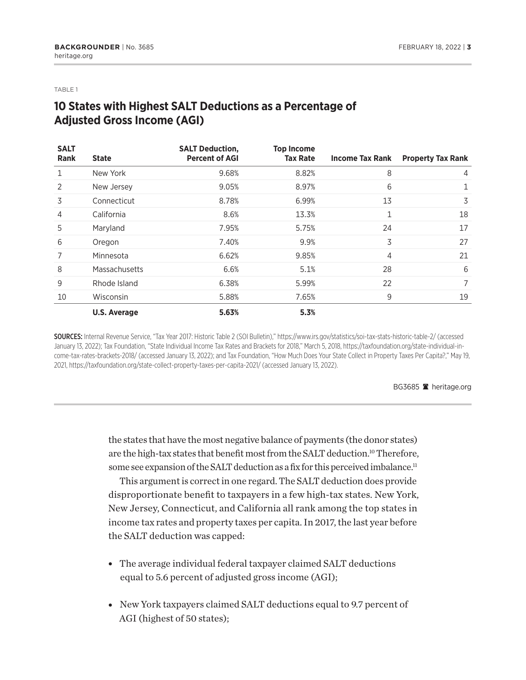<span id="page-2-0"></span>TABLE 1

# **10 States with Highest SALT Deductions as a Percentage of Adjusted Gross Income (AGI)**

| <b>SALT</b><br><b>Rank</b> | <b>State</b>        | <b>SALT Deduction,</b><br><b>Percent of AGI</b> | <b>Top Income</b><br><b>Tax Rate</b> | <b>Income Tax Rank</b> | <b>Property Tax Rank</b> |
|----------------------------|---------------------|-------------------------------------------------|--------------------------------------|------------------------|--------------------------|
|                            | New York            | 9.68%                                           | 8.82%                                | 8                      | 4                        |
| 2                          | New Jersey          | 9.05%                                           | 8.97%                                | 6                      | 1                        |
| 3                          | Connecticut         | 8.78%                                           | 6.99%                                | 13                     | 3                        |
| 4                          | California          | 8.6%                                            | 13.3%                                | 1                      | 18                       |
| 5                          | Maryland            | 7.95%                                           | 5.75%                                | 24                     | 17                       |
| 6                          | Oregon              | 7.40%                                           | 9.9%                                 | 3                      | 27                       |
| 7                          | Minnesota           | 6.62%                                           | 9.85%                                | 4                      | 21                       |
| 8                          | Massachusetts       | 6.6%                                            | 5.1%                                 | 28                     | 6                        |
| 9                          | Rhode Island        | 6.38%                                           | 5.99%                                | 22                     | 7                        |
| 10                         | Wisconsin           | 5.88%                                           | 7.65%                                | 9                      | 19                       |
|                            | <b>U.S. Average</b> | 5.63%                                           | 5.3%                                 |                        |                          |

SOURCES: Internal Revenue Service, "Tax Year 2017: Historic Table 2 (SOI Bulletin)," https://www.irs.gov/statistics/soi-tax-stats-historic-table-2/ (accessed January 13, 2022); Tax Foundation, "State Individual Income Tax Rates and Brackets for 2018," March 5, 2018, https://taxfoundation.org/state-individual-income-tax-rates-brackets-2018/ (accessed January 13, 2022); and Tax Foundation, "How Much Does Your State Collect in Property Taxes Per Capita?," May 19, 2021, https://taxfoundation.org/state-collect-property-taxes-per-capita-2021/ (accessed January 13, 2022).

BG3685 <sup>a</sup> heritage.org

the states that have the most negative balance of payments (the donor states) are the high-tax states that benefit most from the SALT deduction.<sup>10</sup> Therefore, some see expansion of the SALT deduction as a fix for this perceived imbalance.<sup>11</sup>

This argument is correct in one regard. The SALT deduction does provide disproportionate benefit to taxpayers in a few high-tax states. New York, New Jersey, Connecticut, and California all rank among the top states in income tax rates and property taxes per capita. In 2017, the last year before the SALT deduction was capped:

- The average individual federal taxpayer claimed SALT deductions equal to 5.6 percent of adjusted gross income (AGI);
- New York taxpayers claimed SALT deductions equal to 9.7 percent of AGI (highest of 50 states);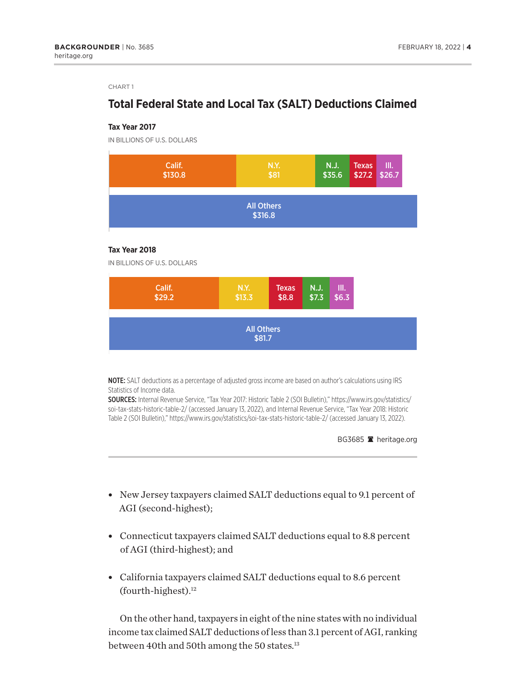### <span id="page-3-0"></span>**Total Federal State and Local Tax (SALT) Deductions Claimed**

#### **Tax Year 2017**

IN BILLIONS OF U.S. DOLLARS



### **Tax Year 2018**

IN BILLIONS OF U.S. DOLLARS



NOTE: SALT deductions as a percentage of adjusted gross income are based on author's calculations using IRS Statistics of Income data.

SOURCES: Internal Revenue Service, "Tax Year 2017: Historic Table 2 (SOI Bulletin)," https://www.irs.gov/statistics/ soi-tax-stats-historic-table-2/ (accessed January 13, 2022), and Internal Revenue Service, "Tax Year 2018: Historic Table 2 (SOI Bulletin)," https://www.irs.gov/statistics/soi-tax-stats-historic-table-2/ (accessed January 13, 2022).

BG3685 <sup>2</sup> heritage.org

- New Jersey taxpayers claimed SALT deductions equal to 9.1 percent of AGI (second-highest);
- Connecticut taxpayers claimed SALT deductions equal to 8.8 percent of AGI (third-highest); and
- California taxpayers claimed SALT deductions equal to 8.6 percent  $(fourth-highest).<sup>12</sup>$

On the other hand, taxpayers in eight of the nine states with no individual income tax claimed SALT deductions of less than 3.1 percent of AGI, ranking between 40th and 50th among the 50 states.<sup>13</sup>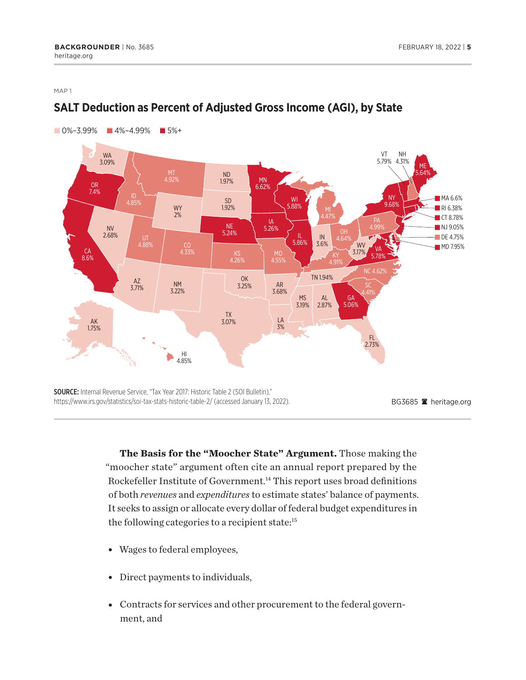<span id="page-4-0"></span>MAP 1



# **SALT Deduction as Percent of Adjusted Gross Income (AGI), by State**

**The Basis for the "Moocher State" Argument.** Those making the "moocher state" argument often cite an annual report prepared by the Rockefeller Institute of Government.<sup>14</sup> This report uses broad definitions of both *revenues* and *expenditures* to estimate states' balance of payments. It seeks to assign or allocate every dollar of federal budget expenditures in the following categories to a recipient state:<sup>[15](#page-18-0)</sup>

- Wages to federal employees,
- Direct payments to individuals,
- Contracts for services and other procurement to the federal government, and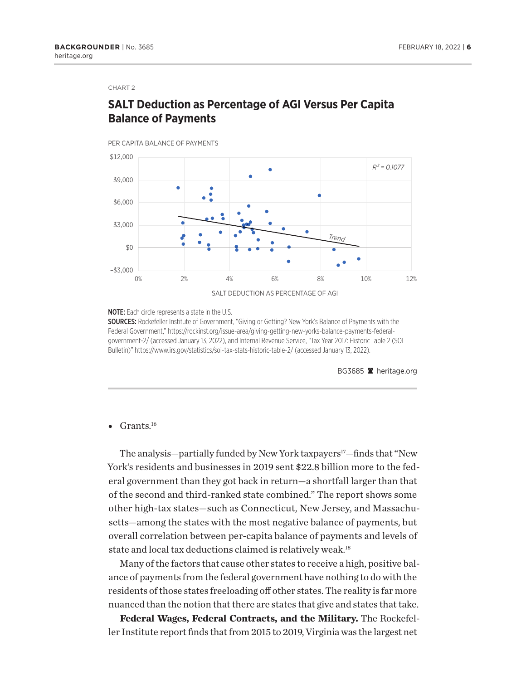# <span id="page-5-0"></span>**SALT Deduction as Percentage of AGI Versus Per Capita Balance of Payments**

PER CAPITA BALANCE OF PAYMENTS



NOTE: Each circle represents a state in the U.S.

SOURCES: Rockefeller Institute of Government, "Giving or Getting? New York's Balance of Payments with the Federal Government," https://rockinst.org/issue-area/giving-getting-new-yorks-balance-payments-federalgovernment-2/ (accessed January 13, 2022), and Internal Revenue Service, "Tax Year 2017: Historic Table 2 (SOI Bulletin)" https://www.irs.gov/statistics/soi-tax-stats-historic-table-2/ (accessed January 13, 2022).

BG3685 **A** heritage.org

### • Grants. $^{16}$

The analysis—partially funded by New York taxpayers<sup>17</sup>—finds that "New York's residents and businesses in 2019 sent \$22.8 billion more to the federal government than they got back in return—a shortfall larger than that of the second and third-ranked state combined." The report shows some other high-tax states—such as Connecticut, New Jersey, and Massachusetts—among the states with the most negative balance of payments, but overall correlation between per-capita balance of payments and levels of state and local tax deductions claimed is relatively weak.<sup>18</sup>

Many of the factors that cause other states to receive a high, positive balance of payments from the federal government have nothing to do with the residents of those states freeloading off other states. The reality is far more nuanced than the notion that there are states that give and states that take.

**Federal Wages, Federal Contracts, and the Military.** The Rockefeller Institute report finds that from 2015 to 2019, Virginia was the largest net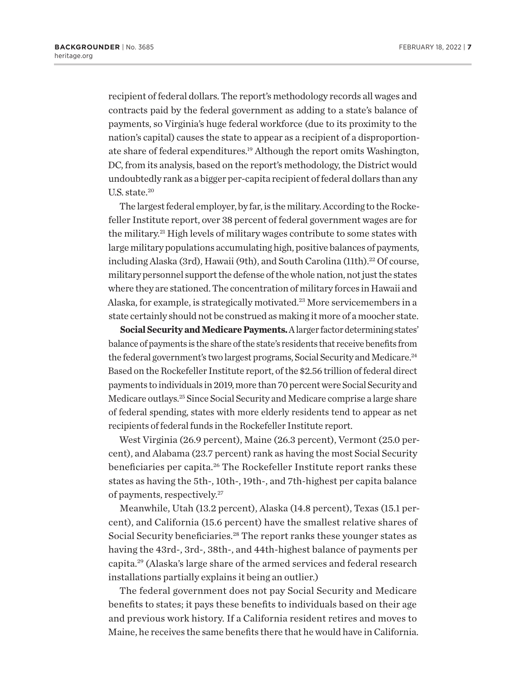<span id="page-6-0"></span>recipient of federal dollars. The report's methodology records all wages and contracts paid by the federal government as adding to a state's balance of payments, so Virginia's huge federal workforce (due to its proximity to the nation's capital) causes the state to appear as a recipient of a disproportionate share of federal expenditures[.19](#page-19-0) Although the report omits Washington, DC, from its analysis, based on the report's methodology, the District would undoubtedly rank as a bigger per-capita recipient of federal dollars than any U.S. state.<sup>20</sup>

The largest federal employer, by far, is the military. According to the Rockefeller Institute report, over 38 percent of federal government wages are for the military[.21](#page-19-0) High levels of military wages contribute to some states with large military populations accumulating high, positive balances of payments, including Alaska (3rd), Hawaii (9th), and South Carolina (11th).<sup>22</sup> Of course, military personnel support the defense of the whole nation, not just the states where they are stationed. The concentration of military forces in Hawaii and Alaska, for example, is strategically motivated[.23](#page-19-0) More servicemembers in a state certainly should not be construed as making it more of a moocher state.

**Social Security and Medicare Payments.** A larger factor determining states' balance of payments is the share of the state's residents that receive benefits from the federal government's two largest programs, Social Security and Medicare.<sup>24</sup> Based on the Rockefeller Institute report, of the \$2.56 trillion of federal direct payments to individuals in 2019, more than 70 percent were Social Security and Medicare outlays.[25](#page-19-0) Since Social Security and Medicare comprise a large share of federal spending, states with more elderly residents tend to appear as net recipients of federal funds in the Rockefeller Institute report.

West Virginia (26.9 percent), Maine (26.3 percent), Vermont (25.0 percent), and Alabama (23.7 percent) rank as having the most Social Security beneficiaries per capita[.26](#page-19-0) The Rockefeller Institute report ranks these states as having the 5th-, 10th-, 19th-, and 7th-highest per capita balance of payments, respectively[.27](#page-19-0)

Meanwhile, Utah (13.2 percent), Alaska (14.8 percent), Texas (15.1 percent), and California (15.6 percent) have the smallest relative shares of Social Security beneficiaries.<sup>28</sup> The report ranks these younger states as having the 43rd-, 3rd-, 38th-, and 44th-highest balance of payments per capita.[29](#page-19-0) (Alaska's large share of the armed services and federal research installations partially explains it being an outlier.)

The federal government does not pay Social Security and Medicare benefits to states; it pays these benefits to individuals based on their age and previous work history. If a California resident retires and moves to Maine, he receives the same benefits there that he would have in California.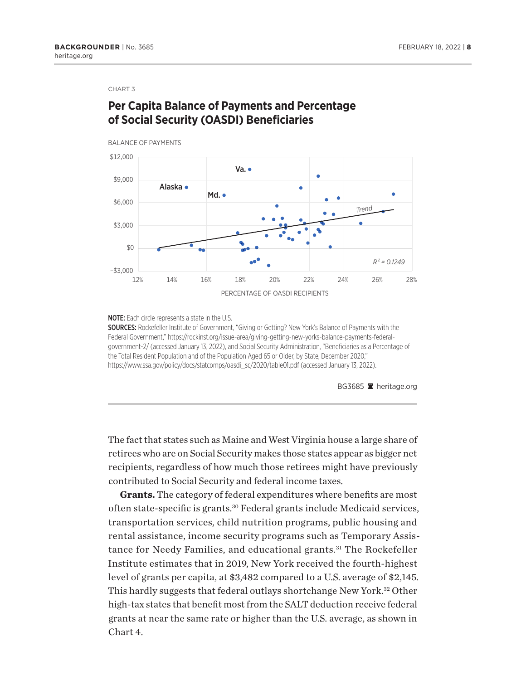# <span id="page-7-0"></span>**Per Capita Balance of Payments and Percentage of Social Security (OASDI) Beneficiaries**



### NOTE: Each circle represents a state in the U.S.

SOURCES: Rockefeller Institute of Government, "Giving or Getting? New York's Balance of Payments with the Federal Government," https://rockinst.org/issue-area/giving-getting-new-yorks-balance-payments-federalgovernment-2/ (accessed January 13, 2022), and Social Security Administration, "Beneficiaries as a Percentage of the Total Resident Population and of the Population Aged 65 or Older, by State, December 2020," https://www.ssa.gov/policy/docs/statcomps/oasdi\_sc/2020/table01.pdf (accessed January 13, 2022).

BG3685 <sup>a</sup> heritage.org

The fact that states such as Maine and West Virginia house a large share of retirees who are on Social Security makes those states appear as bigger net recipients, regardless of how much those retirees might have previously contributed to Social Security and federal income taxes.

**Grants.** The category of federal expenditures where benefits are most often state-specific is grants[.30](#page-19-0) Federal grants include Medicaid services, transportation services, child nutrition programs, public housing and rental assistance, income security programs such as Temporary Assistance for Needy Families, and educational grants.<sup>31</sup> The Rockefeller Institute estimates that in 2019, New York received the fourth-highest level of grants per capita, at \$3,482 compared to a U.S. average of \$2,145. This hardly suggests that federal outlays shortchange New York.[32](#page-19-0) Other high-tax states that benefit most from the SALT deduction receive federal grants at near the same rate or higher than the U.S. average, as shown in Chart 4.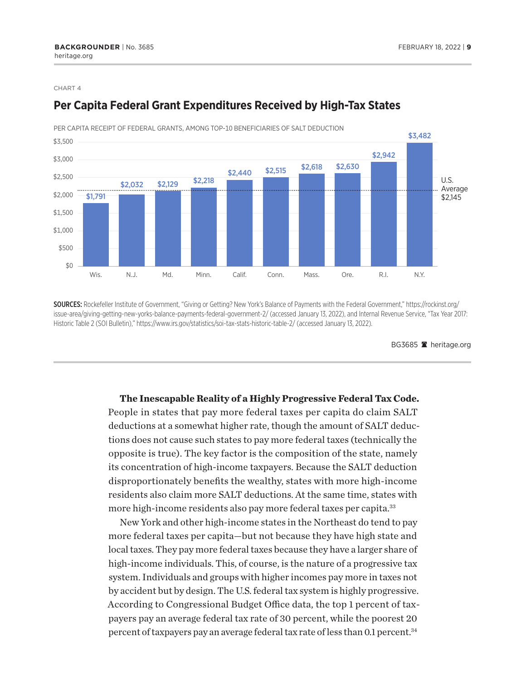

### <span id="page-8-0"></span>**Per Capita Federal Grant Expenditures Received by High-Tax States**

SOURCES: Rockefeller Institute of Government, "Giving or Getting? New York's Balance of Payments with the Federal Government," https://rockinst.org/

issue-area/giving-getting-new-yorks-balance-payments-federal-government-2/ (accessed January 13, 2022), and Internal Revenue Service, "Tax Year 2017: Historic Table 2 (SOI Bulletin)," https://www.irs.gov/statistics/soi-tax-stats-historic-table-2/ (accessed January 13, 2022).

BG3685 <sup>a</sup> heritage.org

**The Inescapable Reality of a Highly Progressive Federal Tax Code.** People in states that pay more federal taxes per capita do claim SALT deductions at a somewhat higher rate, though the amount of SALT deductions does not cause such states to pay more federal taxes (technically the opposite is true). The key factor is the composition of the state, namely its concentration of high-income taxpayers. Because the SALT deduction disproportionately benefits the wealthy, states with more high-income residents also claim more SALT deductions. At the same time, states with more high-income residents also pay more federal taxes per capita.<sup>[33](#page-19-0)</sup>

New York and other high-income states in the Northeast do tend to pay more federal taxes per capita—but not because they have high state and local taxes. They pay more federal taxes because they have a larger share of high-income individuals. This, of course, is the nature of a progressive tax system. Individuals and groups with higher incomes pay more in taxes not by accident but by design. The U.S. federal tax system is highly progressive. According to Congressional Budget Office data, the top 1 percent of taxpayers pay an average federal tax rate of 30 percent, while the poorest 20 percent of taxpayers pay an average federal tax rate of less than 0.1 percent.<sup>[34](#page-19-0)</sup>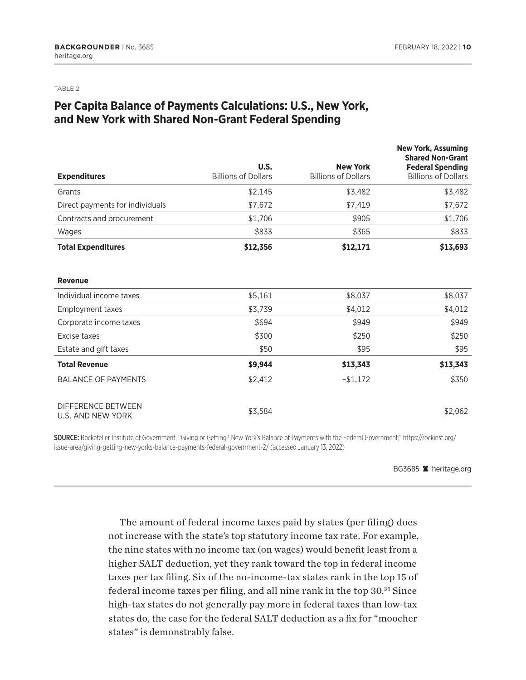<span id="page-9-0"></span>TABLE 2

# **Per Capita Balance of Payments Calculations: U.S., New York, and New York with Shared Non-Grant Federal Spending**

| <b>Expenditures</b>                                   | U.S.<br><b>Billions of Dollars</b> | <b>New York</b><br><b>Billions of Dollars</b> | <b>New York, Assuming</b><br><b>Shared Non-Grant</b><br><b>Federal Spending</b><br><b>Billions of Dollars</b> |
|-------------------------------------------------------|------------------------------------|-----------------------------------------------|---------------------------------------------------------------------------------------------------------------|
| Grants                                                | \$2,145                            | \$3,482                                       | \$3,482                                                                                                       |
| Direct payments for individuals                       | \$7,672                            | \$7,419                                       | \$7,672                                                                                                       |
| Contracts and procurement                             | \$1,706                            | \$905                                         | \$1,706                                                                                                       |
| Wages                                                 | \$833                              | \$365                                         | \$833                                                                                                         |
| <b>Total Expenditures</b>                             | \$12,356                           | \$12,171                                      | \$13,693                                                                                                      |
| <b>Revenue</b>                                        |                                    |                                               |                                                                                                               |
| Individual income taxes                               | \$5,161                            | \$8,037                                       | \$8,037                                                                                                       |
| <b>Employment taxes</b>                               | \$3,739                            | \$4,012                                       | \$4,012                                                                                                       |
| Corporate income taxes                                | \$694                              | \$949                                         | \$949                                                                                                         |
| Excise taxes                                          | \$300                              | \$250                                         | \$250                                                                                                         |
| Estate and gift taxes                                 | \$50                               | \$95                                          | \$95                                                                                                          |
| <b>Total Revenue</b>                                  | \$9,944                            | \$13,343                                      | \$13,343                                                                                                      |
| <b>BALANCE OF PAYMENTS</b>                            | \$2,412                            | $-$1,172$                                     | \$350                                                                                                         |
| <b>DIFFERENCE BETWEEN</b><br><b>U.S. AND NEW YORK</b> | \$3,584                            |                                               | \$2,062                                                                                                       |

SOURCE: Rockefeller Institute of Government, "Giving or Getting? New York's Balance of Payments with the Federal Government," https://rockinst.org/ issue-area/giving-getting-new-yorks-balance-payments-federal-government-2/ (accessed January 13, 2022)

BG3685 **A** heritage.org

The amount of federal income taxes paid by states (per filing) does not increase with the state's top statutory income tax rate. For example, the nine states with no income tax (on wages) would benefit least from a higher SALT deduction, yet they rank toward the top in federal income taxes per tax filing. Six of the no-income-tax states rank in the top 15 of federal income taxes per filing, and all nine rank in the top 30[.35](#page-19-0) Since high-tax states do not generally pay more in federal taxes than low-tax states do, the case for the federal SALT deduction as a fix for "moocher states" is demonstrably false.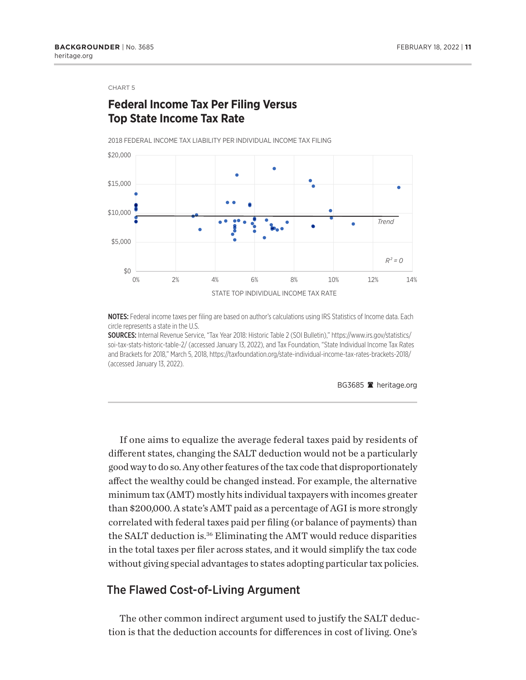# <span id="page-10-0"></span>**Federal Income Tax Per Filing Versus Top State Income Tax Rate**

2018 FEDERAL INCOME TAX LIABILITY PER INDIVIDUAL INCOME TAX FILING



NOTES: Federal income taxes per filing are based on author's calculations using IRS Statistics of Income data. Each circle represents a state in the U.S.

SOURCES: Internal Revenue Service, "Tax Year 2018: Historic Table 2 (SOI Bulletin)," https://www.irs.gov/statistics/ soi-tax-stats-historic-table-2/ (accessed January 13, 2022), and Tax Foundation, "State Individual Income Tax Rates and Brackets for 2018," March 5, 2018, https://taxfoundation.org/state-individual-income-tax-rates-brackets-2018/ (accessed January 13, 2022).

BG3685 **A** heritage.org

If one aims to equalize the average federal taxes paid by residents of different states, changing the SALT deduction would not be a particularly good way to do so. Any other features of the tax code that disproportionately affect the wealthy could be changed instead. For example, the alternative minimum tax (AMT) mostly hits individual taxpayers with incomes greater than \$200,000. A state's AMT paid as a percentage of AGI is more strongly correlated with federal taxes paid per filing (or balance of payments) than the SALT deduction is[.36](#page-19-0) Eliminating the AMT would reduce disparities in the total taxes per filer across states, and it would simplify the tax code without giving special advantages to states adopting particular tax policies.

### The Flawed Cost-of-Living Argument

The other common indirect argument used to justify the SALT deduction is that the deduction accounts for differences in cost of living. One's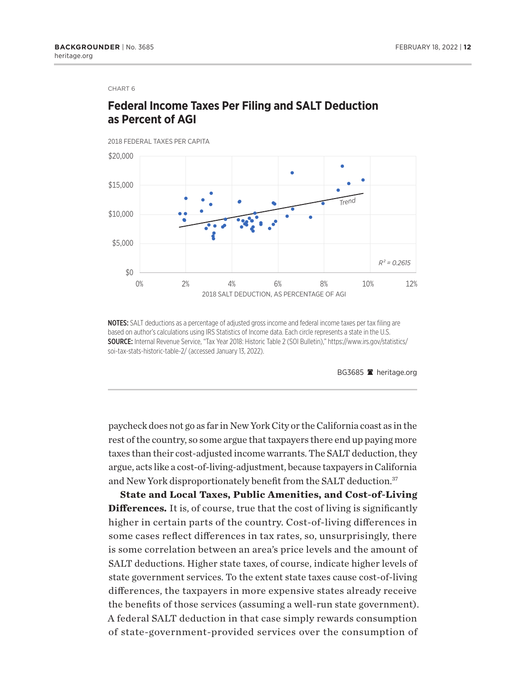# <span id="page-11-0"></span>**Federal Income Taxes Per Filing and SALT Deduction as Percent of AGI**



NOTES: SALT deductions as a percentage of adjusted gross income and federal income taxes per tax filing are based on author's calculations using IRS Statistics of Income data. Each circle represents a state in the U.S. SOURCE: Internal Revenue Service, "Tax Year 2018: Historic Table 2 (SOI Bulletin)," https://www.irs.gov/statistics/ soi-tax-stats-historic-table-2/ (accessed January 13, 2022).

BG3685 <sup>a</sup> heritage.org

paycheck does not go as far in New York City or the California coast as in the rest of the country, so some argue that taxpayers there end up paying more taxes than their cost-adjusted income warrants. The SALT deduction, they argue, acts like a cost-of-living-adjustment, because taxpayers in California and New York disproportionately benefit from the SALT deduction.<sup>[37](#page-19-0)</sup>

**State and Local Taxes, Public Amenities, and Cost-of-Living Differences.** It is, of course, true that the cost of living is significantly higher in certain parts of the country. Cost-of-living differences in some cases reflect differences in tax rates, so, unsurprisingly, there is some correlation between an area's price levels and the amount of SALT deductions. Higher state taxes, of course, indicate higher levels of state government services. To the extent state taxes cause cost-of-living differences, the taxpayers in more expensive states already receive the benefits of those services (assuming a well-run state government). A federal SALT deduction in that case simply rewards consumption of state-government-provided services over the consumption of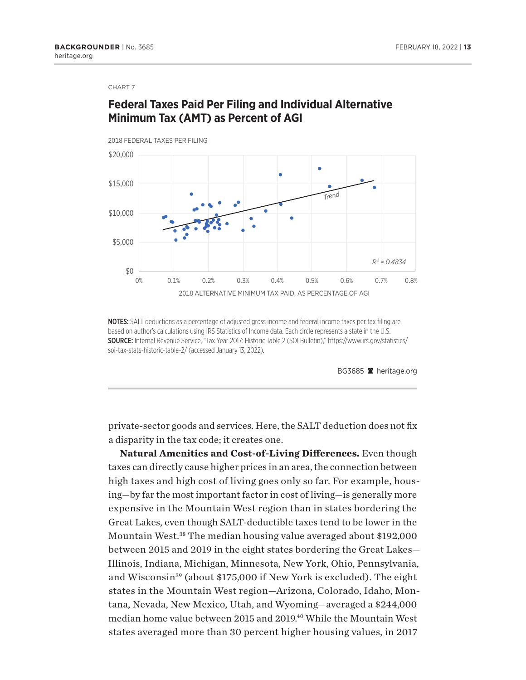# <span id="page-12-0"></span>**Federal Taxes Paid Per Filing and Individual Alternative Minimum Tax (AMT) as Percent of AGI**



NOTES: SALT deductions as a percentage of adjusted gross income and federal income taxes per tax filing are based on author's calculations using IRS Statistics of Income data. Each circle represents a state in the U.S. SOURCE: Internal Revenue Service, "Tax Year 2017: Historic Table 2 (SOI Bulletin)," https://www.irs.gov/statistics/ soi-tax-stats-historic-table-2/ (accessed January 13, 2022).

BG3685 **A** heritage.org

private-sector goods and services. Here, the SALT deduction does not fix a disparity in the tax code; it creates one.

**Natural Amenities and Cost-of-Living Differences.** Even though taxes can directly cause higher prices in an area, the connection between high taxes and high cost of living goes only so far. For example, housing—by far the most important factor in cost of living—is generally more expensive in the Mountain West region than in states bordering the Great Lakes, even though SALT-deductible taxes tend to be lower in the Mountain West.<sup>[38](#page-20-0)</sup> The median housing value averaged about \$192,000 between 2015 and 2019 in the eight states bordering the Great Lakes— Illinois, Indiana, Michigan, Minnesota, New York, Ohio, Pennsylvania, and Wisconsin<sup>39</sup> (about \$175,000 if New York is excluded). The eight states in the Mountain West region—Arizona, Colorado, Idaho, Montana, Nevada, New Mexico, Utah, and Wyoming—averaged a \$244,000 median home value between 2015 and 2019.<sup>40</sup> While the Mountain West states averaged more than 30 percent higher housing values, in 2017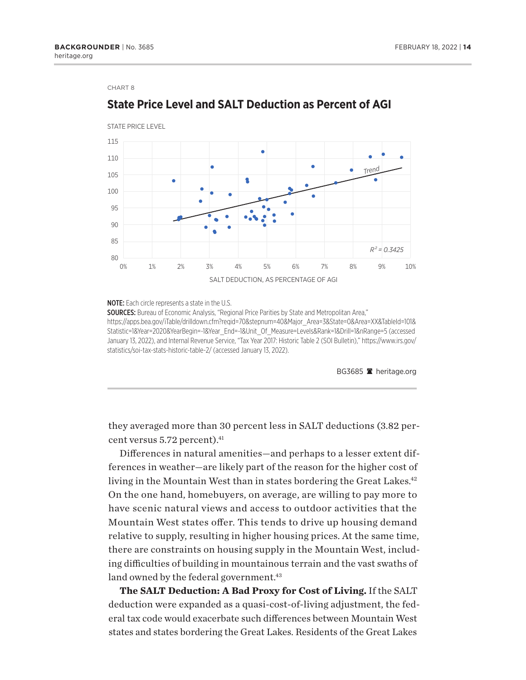

### <span id="page-13-0"></span>**State Price Level and SALT Deduction as Percent of AGI**

**NOTE:** Each circle represents a state in the U.S.

**SOURCES:** Bureau of Economic Analysis, "Regional Price Parities by State and Metropolitan Area," https://apps.bea.gov/iTable/drilldown.cfm?reqid=70&stepnum=40&Major\_Area=3&State=0&Area=XX&TableId=101& Statistic=1&Year=2020&YearBegin=-1&Year\_End=-1&Unit\_Of\_Measure=Levels&Rank=1&Drill=1&nRange=5 (accessed January 13, 2022), and Internal Revenue Service, "Tax Year 2017: Historic Table 2 (SOI Bulletin)," https://www.irs.gov/ statistics/soi-tax-stats-historic-table-2/ (accessed January 13, 2022).

BG3685 <sup>a</sup> heritage.org

they averaged more than 30 percent less in SALT deductions (3.82 percent versus 5.72 percent).<sup>41</sup>

Differences in natural amenities—and perhaps to a lesser extent differences in weather—are likely part of the reason for the higher cost of living in the Mountain West than in states bordering the Great Lakes.<sup>42</sup> On the one hand, homebuyers, on average, are willing to pay more to have scenic natural views and access to outdoor activities that the Mountain West states offer. This tends to drive up housing demand relative to supply, resulting in higher housing prices. At the same time, there are constraints on housing supply in the Mountain West, including difficulties of building in mountainous terrain and the vast swaths of land owned by the federal government.<sup>43</sup>

**The SALT Deduction: A Bad Proxy for Cost of Living.** If the SALT deduction were expanded as a quasi-cost-of-living adjustment, the federal tax code would exacerbate such differences between Mountain West states and states bordering the Great Lakes. Residents of the Great Lakes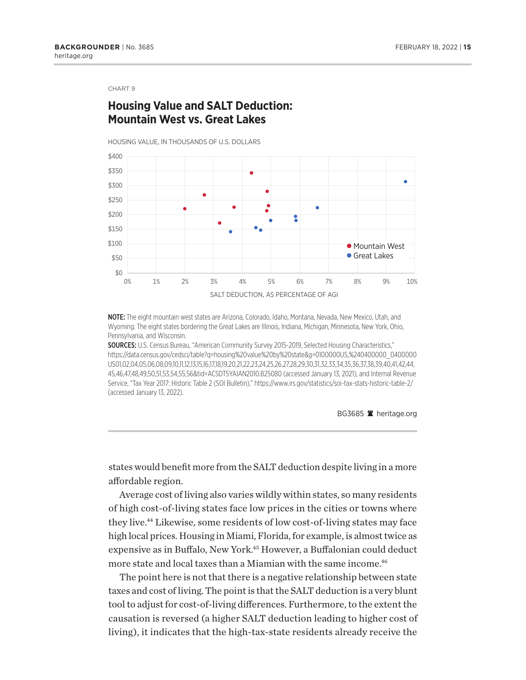### <span id="page-14-0"></span>**Housing Value and SALT Deduction: Mountain West vs. Great Lakes**

HOUSING VALUE, IN THOUSANDS OF U.S. DOLLARS



NOTE: The eight mountain west states are Arizona, Colorado, Idaho, Montana, Nevada, New Mexico, Utah, and Wyoming. The eight states bordering the Great Lakes are Illinois, Indiana, Michigan, Minnesota, New York, Ohio, Pennsylvania, and Wisconsin.

SOURCES: U.S. Census Bureau, "American Community Survey 2015-2019, Selected Housing Characteristics," https://data.census.gov/cedsci/table?q=housing%20value%20by%20state&g=0100000US,%240400000\_0400000 US01,02,04,05,06,08,09,10,11,12,13,15,16,17,18,19,20,21,22,23,24,25,26,27,28,29,30,31,32,33,34,35,36,37,38,39,40,41,42,44, 45,46,47,48,49,50,51,53,54,55,56&tid=ACSDT5YAIAN2010.B25080 (accessed January 13, 2021), and Internal Revenue Service, "Tax Year 2017: Historic Table 2 (SOI Bulletin)," https://www.irs.gov/statistics/soi-tax-stats-historic-table-2/ (accessed January 13, 2022).

BG3685 **A** heritage.org

states would benefit more from the SALT deduction despite living in a more affordable region.

Average cost of living also varies wildly within states, so many residents of high cost-of-living states face low prices in the cities or towns where they live[.44](#page-20-0) Likewise, some residents of low cost-of-living states may face high local prices. Housing in Miami, Florida, for example, is almost twice as expensive as in Buffalo, New York.<sup>45</sup> However, a Buffalonian could deduct more state and local taxes than a Miamian with the same income.<sup>46</sup>

The point here is not that there is a negative relationship between state taxes and cost of living. The point is that the SALT deduction is a very blunt tool to adjust for cost-of-living differences. Furthermore, to the extent the causation is reversed (a higher SALT deduction leading to higher cost of living), it indicates that the high-tax-state residents already receive the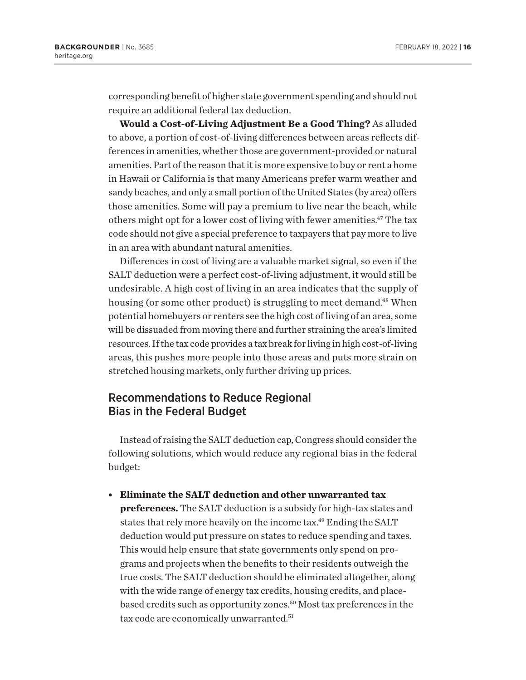<span id="page-15-0"></span>corresponding benefit of higher state government spending and should not require an additional federal tax deduction.

**Would a Cost-of-Living Adjustment Be a Good Thing?** As alluded to above, a portion of cost-of-living differences between areas reflects differences in amenities, whether those are government-provided or natural amenities. Part of the reason that it is more expensive to buy or rent a home in Hawaii or California is that many Americans prefer warm weather and sandy beaches, and only a small portion of the United States (by area) offers those amenities. Some will pay a premium to live near the beach, while others might opt for a lower cost of living with fewer amenities.<sup>47</sup> The tax code should not give a special preference to taxpayers that pay more to live in an area with abundant natural amenities.

Differences in cost of living are a valuable market signal, so even if the SALT deduction were a perfect cost-of-living adjustment, it would still be undesirable. A high cost of living in an area indicates that the supply of housing (or some other product) is struggling to meet demand.<sup>48</sup> When potential homebuyers or renters see the high cost of living of an area, some will be dissuaded from moving there and further straining the area's limited resources. If the tax code provides a tax break for living in high cost-of-living areas, this pushes more people into those areas and puts more strain on stretched housing markets, only further driving up prices.

### Recommendations to Reduce Regional Bias in the Federal Budget

Instead of raising the SALT deduction cap, Congress should consider the following solutions, which would reduce any regional bias in the federal budget:

<sup>l</sup> **Eliminate the SALT deduction and other unwarranted tax** 

**preferences.** The SALT deduction is a subsidy for high-tax states and states that rely more heavily on the income tax.<sup>49</sup> Ending the SALT deduction would put pressure on states to reduce spending and taxes. This would help ensure that state governments only spend on programs and projects when the benefits to their residents outweigh the true costs. The SALT deduction should be eliminated altogether, along with the wide range of energy tax credits, housing credits, and placebased credits such as opportunity zones.<sup>50</sup> Most tax preferences in the tax code are economically unwarranted.<sup>[51](#page-20-0)</sup>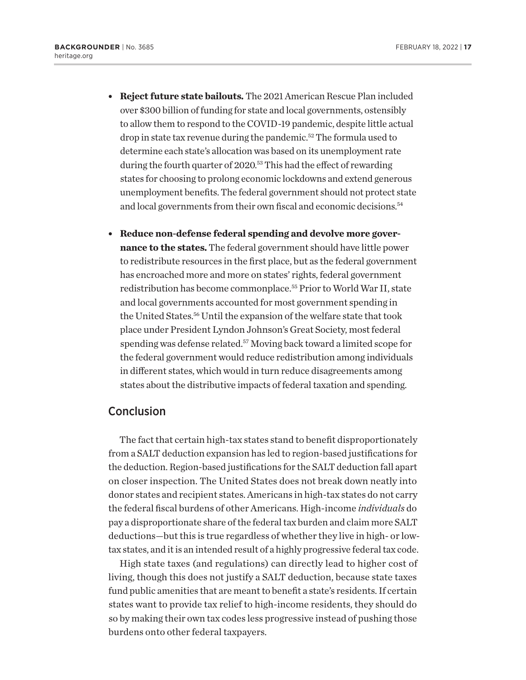- <span id="page-16-0"></span><sup>l</sup> **Reject future state bailouts.** The 2021 American Rescue Plan included over \$300 billion of funding for state and local governments, ostensibly to allow them to respond to the COVID-19 pandemic, despite little actual drop in state tax revenue during the pandemic.[52](#page-20-0) The formula used to determine each state's allocation was based on its unemployment rate during the fourth quarter of 2020.<sup>53</sup> This had the effect of rewarding states for choosing to prolong economic lockdowns and extend generous unemployment benefits. The federal government should not protect state and local governments from their own fiscal and economic decisions.<sup>54</sup>
- **Reduce non-defense federal spending and devolve more governance to the states.** The federal government should have little power to redistribute resources in the first place, but as the federal government has encroached more and more on states' rights, federal government redistribution has become commonplace[.55](#page-20-0) Prior to World War II, state and local governments accounted for most government spending in the United States[.56](#page-21-0) Until the expansion of the welfare state that took place under President Lyndon Johnson's Great Society, most federal spending was defense related.[57](#page-21-0) Moving back toward a limited scope for the federal government would reduce redistribution among individuals in different states, which would in turn reduce disagreements among states about the distributive impacts of federal taxation and spending.

### **Conclusion**

The fact that certain high-tax states stand to benefit disproportionately from a SALT deduction expansion has led to region-based justifications for the deduction. Region-based justifications for the SALT deduction fall apart on closer inspection. The United States does not break down neatly into donor states and recipient states. Americans in high-tax states do not carry the federal fiscal burdens of other Americans. High-income *individuals* do pay a disproportionate share of the federal tax burden and claim more SALT deductions—but this is true regardless of whether they live in high- or lowtax states, and it is an intended result of a highly progressive federal tax code.

High state taxes (and regulations) can directly lead to higher cost of living, though this does not justify a SALT deduction, because state taxes fund public amenities that are meant to benefit a state's residents. If certain states want to provide tax relief to high-income residents, they should do so by making their own tax codes less progressive instead of pushing those burdens onto other federal taxpayers.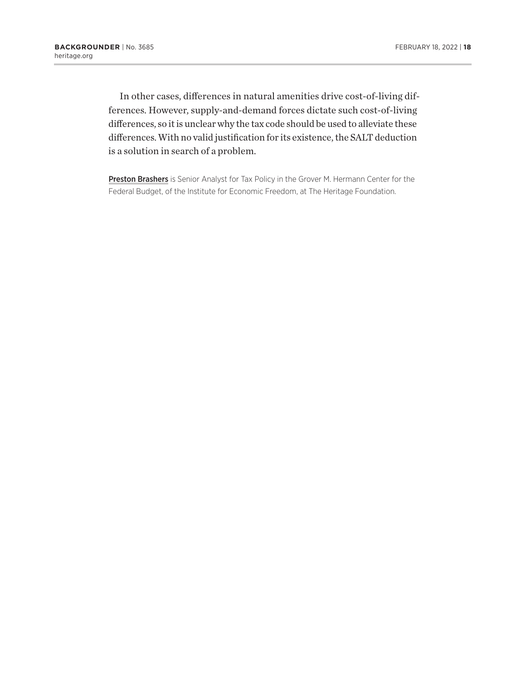In other cases, differences in natural amenities drive cost-of-living differences. However, supply-and-demand forces dictate such cost-of-living differences, so it is unclear why the tax code should be used to alleviate these differences. With no valid justification for its existence, the SALT deduction is a solution in search of a problem.

Preston Brashers is Senior Analyst for Tax Policy in the Grover M. Hermann Center for the Federal Budget, of the Institute for Economic Freedom, at The Heritage Foundation.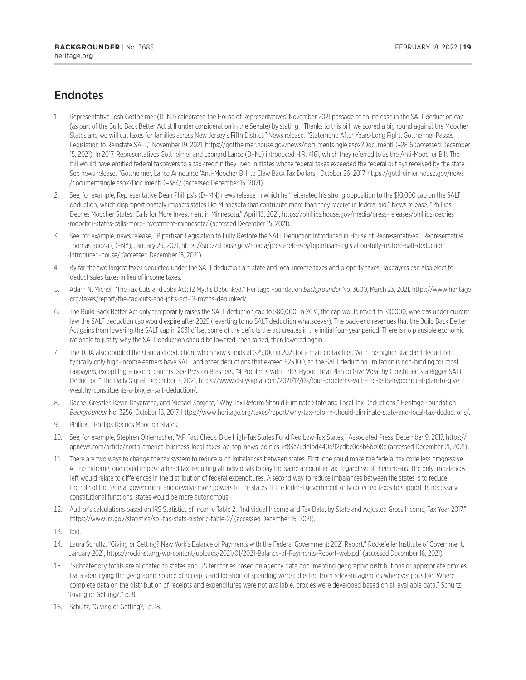# <span id="page-18-0"></span>**Endnotes**

- [1.](#page-0-0) Representative Josh Gottheimer (D–NJ) celebrated the House of Representatives' November 2021 passage of an increase in the SALT deduction cap (as part of the Build Back Better Act still under consideration in the Senate) by stating, "Thanks to this bill, we scored a big round against the Moocher States and we will cut taxes for families across New Jersey's Fifth District." News release, "Statement: After Years-Long Fight, Gottheimer Passes Legislation to Reinstate SALT," November 19, 2021, <https://gottheimer.house.gov/news/documentsingle.aspx?DocumentID=2816> (accessed December 15, 2021). In 2017, Representatives Gottheimer and Leonard Lance (D–NJ) introduced H.R. 4161, which they referred to as the Anti-Moocher Bill. The bill would have entitled federal taxpayers to a tax credit if they lived in states whose federal taxes exceeded the federal outlays received by the state. See news release, "Gottheimer, Lance Announce 'Anti-Moocher Bill' to Claw Back Tax Dollars," October 26, 2017, [https://gottheimer.house.gov/news](https://gottheimer.house.gov/news/documentsingle.aspx?DocumentID=384/) [/documentsingle.aspx?DocumentID=384/](https://gottheimer.house.gov/news/documentsingle.aspx?DocumentID=384/) (accessed December 15, 2021).
- [2](#page-0-0). See, for example, Representative Dean Phillips's (D–MN) news release in which he "reiterated his strong opposition to the \$10,000 cap on the SALT deduction, which disproportionately impacts states like Minnesota that contribute more than they receive in federal aid." News release, "Phillips Decries Moocher States, Calls for More Investment in Minnesota," April 16, 2021, [https://phillips.house.gov/media/press-releases/phillips-decries](https://phillips.house.gov/media/press-releases/phillips-decries-moocher-states-calls-more-investment-minnesota/) [-moocher-states-calls-more-investment-minnesota/](https://phillips.house.gov/media/press-releases/phillips-decries-moocher-states-calls-more-investment-minnesota/) (accessed December 15, 2021).
- [3.](#page-0-0) See, for example, news release, "Bipartisan Legislation to Fully Restore the SALT Deduction Introduced in House of Representatives," Representative Thomas Suozzi (D–NY), January 29, 2021, [https://suozzi.house.gov/media/press-releases/bipartisan-legislation-fully-restore-salt-deduction](https://suozzi.house.gov/media/press-releases/bipartisan-legislation-fully-restore-salt-deduction-introduced-house/) [-introduced-house/](https://suozzi.house.gov/media/press-releases/bipartisan-legislation-fully-restore-salt-deduction-introduced-house/) (accessed December 15, 2021).
- [4.](#page-0-0) By far the two largest taxes deducted under the SALT deduction are state and local income taxes and property taxes. Taxpayers can also elect to deduct sales taxes in lieu of income taxes.
- [5](#page-1-0). Adam N. Michel, "The Tax Cuts and Jobs Act: 12 Myths Debunked," Heritage Foundation *Backgrounder* No. 3600, March 23, 2021, [https://www.heritage](https://www.heritage.org/taxes/report/the-tax-cuts-and-jobs-act-12-myths-debunked/) [.org/taxes/report/the-tax-cuts-and-jobs-act-12-myths-debunked/](https://www.heritage.org/taxes/report/the-tax-cuts-and-jobs-act-12-myths-debunked/).
- [6](#page-1-0). The Build Back Better Act only temporarily raises the SALT deduction cap to \$80,000. In 2031, the cap would revert to \$10,000, whereas under current law the SALT deduction cap would expire after 2025 (reverting to no SALT deduction whatsoever). The back-end revenues that the Build Back Better Act gains from lowering the SALT cap in 2031 offset some of the deficits the act creates in the initial four-year period. There is no plausible economic rationale to justify why the SALT deduction should be lowered, then raised, then lowered again.
- [7.](#page-1-0) The TCJA also doubled the standard deduction, which now stands at \$25,100 in 2021 for a married tax filer. With the higher standard deduction, typically only high-income earners have SALT and other deductions that exceed \$25,100, so the SALT deduction limitation is non-binding for most taxpayers, except high-income earners. See Preston Brashers, "4 Problems with Left's Hypocritical Plan to Give Wealthy Constituents a Bigger SALT Deduction," The Daily Signal, December 3, 2021, [https://www.dailysignal.com/2021/12/03/four-problems-with-the-lefts-hypocritical-plan-to-give](https://www.dailysignal.com/2021/12/03/four-problems-with-the-lefts-hypocritical-plan-to-give-wealthy-constituents-a-bigger-salt-deduction/) [-wealthy-constituents-a-bigger-salt-deduction/](https://www.dailysignal.com/2021/12/03/four-problems-with-the-lefts-hypocritical-plan-to-give-wealthy-constituents-a-bigger-salt-deduction/).
- [8](#page-1-0). Rachel Greszler, Kevin Dayaratna, and Michael Sargent, "Why Tax Reform Should Eliminate State and Local Tax Deductions," Heritage Foundation *Backgrounder* No. 3256, October 16, 2017,<https://www.heritage.org/taxes/report/why-tax-reform-should-eliminate-state-and-local-tax-deductions/>.
- [9](#page-1-0). Phillips, "Phillips Decries Moocher States."
- [10.](#page-2-0) See, for example, Stephen Ohlemacher, "AP Fact Check: Blue High-Tax States Fund Red Low-Tax States," Associated Press, December 9, 2017, [https://](https://apnews.com/article/north-america-business-local-taxes-ap-top-news-politics-2f83c72de1bd440d92cdbc0d3b6bc08c) [apnews.com/article/north-america-business-local-taxes-ap-top-news-politics-2f83c72de1bd440d92cdbc0d3b6bc08c](https://apnews.com/article/north-america-business-local-taxes-ap-top-news-politics-2f83c72de1bd440d92cdbc0d3b6bc08c) (accessed December 21, 2021).
- [11.](#page-2-0) There are two ways to change the tax system to reduce such imbalances between states. First, one could make the federal tax code less progressive. At the extreme, one could impose a head tax, requiring all individuals to pay the same amount in tax, regardless of their means. The only imbalances left would relate to differences in the distribution of federal expenditures. A second way to reduce imbalances between the states is to reduce the role of the federal government and devolve more powers to the states. If the federal government only collected taxes to support its necessary, constitutional functions, states would be more autonomous.
- [12.](#page-3-0) Author's calculations based on IRS Statistics of Income Table 2, "Individual Income and Tax Data, by State and Adjusted Gross Income, Tax Year 2017," <https://www.irs.gov/statistics/soi-tax-stats-historic-table-2/> (accessed December 15, 2021).
- [13.](#page-3-0) Ibid.
- [14.](#page-4-0) Laura Schultz, "Giving or Getting? New York's Balance of Payments with the Federal Government: 2021 Report," Rockefeller Institute of Government, January 2021, <https://rockinst.org/wp-content/uploads/2021/01/2021-Balance-of-Payments-Report-web.pdf>(accessed December 16, 2021).
- [15](#page-4-0). "Subcategory totals are allocated to states and US territories based on agency data documenting geographic distributions or appropriate proxies. Data identifying the geographic source of receipts and location of spending were collected from relevant agencies wherever possible. Where complete data on the distribution of receipts and expenditures were not available, proxies were developed based on all available data." Schultz, "Giving or Getting?," p. 8.
- [16.](#page-5-0) Schultz, "Giving or Getting?," p. 18.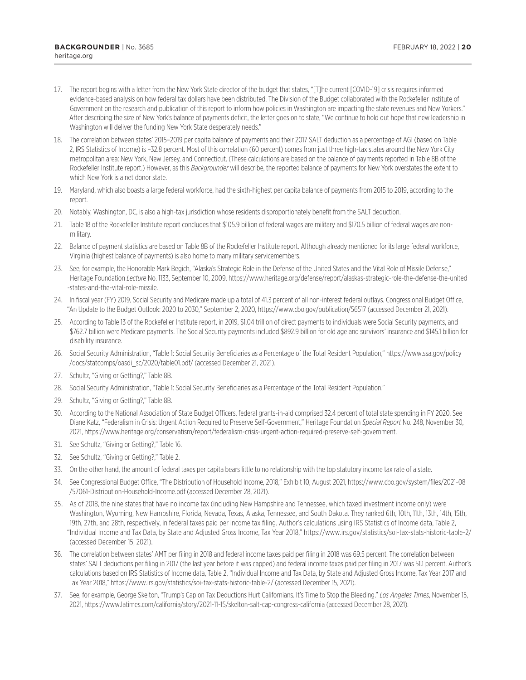- <span id="page-19-0"></span>[17.](#page-5-0) The report begins with a letter from the New York State director of the budget that states, "[T]he current [COVID-19] crisis requires informed evidence-based analysis on how federal tax dollars have been distributed. The Division of the Budget collaborated with the Rockefeller Institute of Government on the research and publication of this report to inform how policies in Washington are impacting the state revenues and New Yorkers." After describing the size of New York's balance of payments deficit, the letter goes on to state, "We continue to hold out hope that new leadership in Washington will deliver the funding New York State desperately needs."
- [18.](#page-5-0) The correlation between states' 2015–2019 per capita balance of payments and their 2017 SALT deduction as a percentage of AGI (based on Table 2, IRS Statistics of Income) is –32.8 percent. Most of this correlation (60 percent) comes from just three high-tax states around the New York City metropolitan area: New York, New Jersey, and Connecticut. (These calculations are based on the balance of payments reported in Table 8B of the Rockefeller Institute report.) However, as this *Backgrounder* will describe, the reported balance of payments for New York overstates the extent to which New York is a net donor state.
- [19.](#page-6-0) Maryland, which also boasts a large federal workforce, had the sixth-highest per capita balance of payments from 2015 to 2019, according to the report.
- [20](#page-6-0). Notably, Washington, DC, is also a high-tax jurisdiction whose residents disproportionately benefit from the SALT deduction.
- [21](#page-6-0). Table 18 of the Rockefeller Institute report concludes that \$105.9 billion of federal wages are military and \$170.5 billion of federal wages are nonmilitary.
- [22](#page-6-0). Balance of payment statistics are based on Table 8B of the Rockefeller Institute report. Although already mentioned for its large federal workforce, Virginia (highest balance of payments) is also home to many military servicemembers.
- [23](#page-6-0). See, for example, the Honorable Mark Begich, "Alaska's Strategic Role in the Defense of the United States and the Vital Role of Missile Defense," Heritage Foundation *Lecture* No. 1133, September 10, 2009, [https://www.heritage.org/defense/report/alaskas-strategic-role-the-defense-the-united](https://www.heritage.org/defense/report/alaskas-strategic-role-the-defense-the-united-states-and-the-vital-role-missile) [-states-and-the-vital-role-missile](https://www.heritage.org/defense/report/alaskas-strategic-role-the-defense-the-united-states-and-the-vital-role-missile).
- [24](#page-6-0). In fiscal year (FY) 2019, Social Security and Medicare made up a total of 41.3 percent of all non-interest federal outlays. Congressional Budget Office, "An Update to the Budget Outlook: 2020 to 2030," September 2, 2020,<https://www.cbo.gov/publication/56517> (accessed December 21, 2021).
- [25](#page-6-0). According to Table 13 of the Rockefeller Institute report, in 2019, \$1.04 trillion of direct payments to individuals were Social Security payments, and \$762.7 billion were Medicare payments. The Social Security payments included \$892.9 billion for old age and survivors' insurance and \$145.1 billion for disability insurance.
- [26](#page-6-0). Social Security Administration, "Table 1: Social Security Beneficiaries as a Percentage of the Total Resident Population," [https://www.ssa.gov/policy](https://www.ssa.gov/policy/docs/statcomps/oasdi_sc/2020/table01.pdf/) [/docs/statcomps/oasdi\\_sc/2020/table01.pdf/](https://www.ssa.gov/policy/docs/statcomps/oasdi_sc/2020/table01.pdf/) (accessed December 21, 2021).
- [27](#page-6-0). Schultz, "Giving or Getting?," Table 8B.
- [28](#page-6-0). Social Security Administration, "Table 1: Social Security Beneficiaries as a Percentage of the Total Resident Population."
- [29](#page-6-0). Schultz, "Giving or Getting?," Table 8B.
- [30.](#page-7-0) According to the National Association of State Budget Officers, federal grants-in-aid comprised 32.4 percent of total state spending in FY 2020. See Diane Katz, "Federalism in Crisis: Urgent Action Required to Preserve Self-Government," Heritage Foundation *Special Report* No. 248, November 30, 2021, [https://www.heritage.org/conservatism/report/federalism-crisis-urgent-action-required-preserve-self-government.](https://www.heritage.org/conservatism/report/federalism-crisis-urgent-action-required-preserve-self-government)
- [31.](#page-7-0) See Schultz, "Giving or Getting?," Table 16.
- [32.](#page-7-0) See Schultz, "Giving or Getting?," Table 2.
- [33.](#page-8-0) On the other hand, the amount of federal taxes per capita bears little to no relationship with the top statutory income tax rate of a state.
- [34.](#page-8-0) See Congressional Budget Office, "The Distribution of Household Income, 2018," Exhibit 10, August 2021, [https://www.cbo.gov/system/files/2021-08](https://www.cbo.gov/system/files/2021-08/57061-Distribution-Household-Income.pdf) [/57061-Distribution-Household-Income.pdf](https://www.cbo.gov/system/files/2021-08/57061-Distribution-Household-Income.pdf) (accessed December 28, 2021).
- [35](#page-9-0). As of 2018, the nine states that have no income tax (including New Hampshire and Tennessee, which taxed investment income only) were Washington, Wyoming, New Hampshire, Florida, Nevada, Texas, Alaska, Tennessee, and South Dakota. They ranked 6th, 10th, 11th, 13th, 14th, 15th, 19th, 27th, and 28th, respectively, in federal taxes paid per income tax filing. Author's calculations using IRS Statistics of Income data, Table 2, "Individual Income and Tax Data, by State and Adjusted Gross Income, Tax Year 2018," <https://www.irs.gov/statistics/soi-tax-stats-historic-table-2/> (accessed December 15, 2021).
- [36.](#page-10-0) The correlation between states' AMT per filing in 2018 and federal income taxes paid per filing in 2018 was 69.5 percent. The correlation between states' SALT deductions per filing in 2017 (the last year before it was capped) and federal income taxes paid per filing in 2017 was 51.1 percent. Author's calculations based on IRS Statistics of Income data, Table 2, "Individual Income and Tax Data, by State and Adjusted Gross Income, Tax Year 2017 and Tax Year 2018," <https://www.irs.gov/statistics/soi-tax-stats-historic-table-2/> (accessed December 15, 2021).
- [37.](#page-11-0) See, for example, George Skelton, "Trump's Cap on Tax Deductions Hurt Californians. It's Time to Stop the Bleeding." *Los Angeles Times*, November 15, 2021,<https://www.latimes.com/california/story/2021-11-15/skelton-salt-cap-congress-california> (accessed December 28, 2021).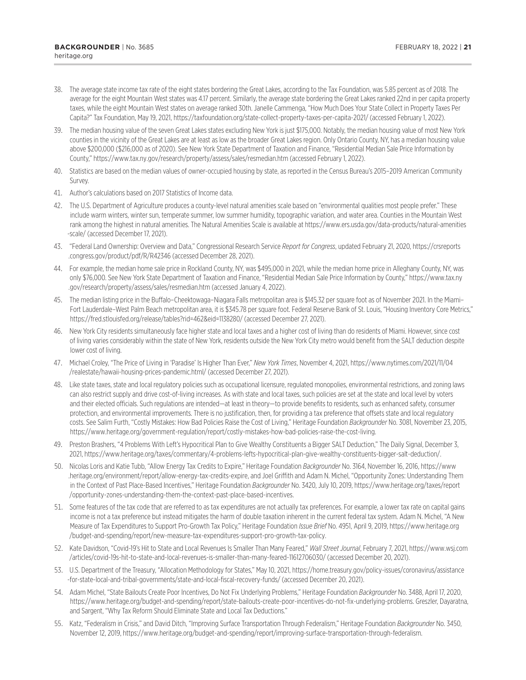- <span id="page-20-0"></span>[38.](#page-12-0) The average state income tax rate of the eight states bordering the Great Lakes, according to the Tax Foundation, was 5.85 percent as of 2018. The average for the eight Mountain West states was 4.17 percent. Similarly, the average state bordering the Great Lakes ranked 22nd in per capita property taxes, while the eight Mountain West states on average ranked 30th. Janelle Cammenga, "How Much Does Your State Collect in Property Taxes Per Capita?" Tax Foundation, May 19, 2021,<https://taxfoundation.org/state-collect-property-taxes-per-capita-2021/>(accessed February 1, 2022).
- [39.](#page-12-0) The median housing value of the seven Great Lakes states excluding New York is just \$175,000. Notably, the median housing value of most New York counties in the vicinity of the Great Lakes are at least as low as the broader Great Lakes region. Only Ontario County, NY, has a median housing value above \$200,000 (\$216,000 as of 2020). See New York State Department of Taxation and Finance, "Residential Median Sale Price Information by County," <https://www.tax.ny.gov/research/property/assess/sales/resmedian.htm>(accessed February 1, 2022).
- [40.](#page-12-0) Statistics are based on the median values of owner-occupied housing by state, as reported in the Census Bureau's 2015–2019 American Community Survey.
- [41.](#page-13-0) Author's calculations based on 2017 Statistics of Income data.
- [42.](#page-13-0) The U.S. Department of Agriculture produces a county-level natural amenities scale based on "environmental qualities most people prefer." These include warm winters, winter sun, temperate summer, low summer humidity, topographic variation, and water area. Counties in the Mountain West rank among the highest in natural amenities. The Natural Amenities Scale is available at [https://www.ers.usda.gov/data-products/natural-amenities](https://www.ers.usda.gov/data-products/natural-amenities-scale/) [-scale/](https://www.ers.usda.gov/data-products/natural-amenities-scale/) (accessed December 17, 2021).
- [43.](#page-13-0) "Federal Land Ownership: Overview and Data," Congressional Research Service *Report for Congress*, updated February 21, 2020, [https://crsreports](https://crsreports.congress.gov/product/pdf/R/R42346) [.congress.gov/product/pdf/R/R42346](https://crsreports.congress.gov/product/pdf/R/R42346) (accessed December 28, 2021).
- [44.](#page-14-0) For example, the median home sale price in Rockland County, NY, was \$495,000 in 2021, while the median home price in Alleghany County, NY, was only \$76,000. See New York State Department of Taxation and Finance, "Residential Median Sale Price Information by County," [https://www.tax.ny](https://www.tax.ny.gov/research/property/assess/sales/resmedian.htm) [.gov/research/property/assess/sales/resmedian.htm](https://www.tax.ny.gov/research/property/assess/sales/resmedian.htm) (accessed January 4, 2022).
- [45.](#page-14-0) The median listing price in the Buffalo–Cheektowaga–Niagara Falls metropolitan area is \$145.32 per square foot as of November 2021. In the Miami– Fort Lauderdale–West Palm Beach metropolitan area, it is \$345.78 per square foot. Federal Reserve Bank of St. Louis, "Housing Inventory Core Metrics," <https://fred.stlouisfed.org/release/tables?rid=462&eid=1138280/>(accessed December 27, 2021).
- [46.](#page-14-0) New York City residents simultaneously face higher state and local taxes and a higher cost of living than do residents of Miami. However, since cost of living varies considerably within the state of New York, residents outside the New York City metro would benefit from the SALT deduction despite lower cost of living.
- [47.](#page-15-0) Michael Croley, "The Price of Living in 'Paradise' Is Higher Than Ever," *New York Times*, November 4, 2021, [https://www.nytimes.com/2021/11/04](https://www.nytimes.com/2021/11/04/realestate/hawaii-housing-prices-pandemic.html/) [/realestate/hawaii-housing-prices-pandemic.html/](https://www.nytimes.com/2021/11/04/realestate/hawaii-housing-prices-pandemic.html/) (accessed December 27, 2021).
- [48.](#page-15-0) Like state taxes, state and local regulatory policies such as occupational licensure, regulated monopolies, environmental restrictions, and zoning laws can also restrict supply and drive cost-of-living increases. As with state and local taxes, such policies are set at the state and local level by voters and their elected officials. Such regulations are intended—at least in theory—to provide benefits to residents, such as enhanced safety, consumer protection, and environmental improvements. There is no justification, then, for providing a tax preference that offsets state and local regulatory costs. See Salim Furth, "Costly Mistakes: How Bad Policies Raise the Cost of Living," Heritage Foundation *Backgrounder* No. 3081, November 23, 2015, <https://www.heritage.org/government-regulation/report/costly-mistakes-how-bad-policies-raise-the-cost-living>.
- [49.](#page-15-0) Preston Brashers, "4 Problems With Left's Hypocritical Plan to Give Wealthy Constituents a Bigger SALT Deduction," The Daily Signal, December 3, 2021,<https://www.heritage.org/taxes/commentary/4-problems-lefts-hypocritical-plan-give-wealthy-constituents-bigger-salt-deduction/>.
- [50](#page-15-0). Nicolas Loris and Katie Tubb, "Allow Energy Tax Credits to Expire," Heritage Foundation *Backgrounder* No. 3164, November 16, 2016, [https://www](https://www.heritage.org/environment/report/allow-energy-tax-credits-expire) [.heritage.org/environment/report/allow-energy-tax-credits-expire](https://www.heritage.org/environment/report/allow-energy-tax-credits-expire), and Joel Griffith and Adam N. Michel, "Opportunity Zones: Understanding Them in the Context of Past Place-Based Incentives," Heritage Foundation *Backgrounder* No. 3420, July 10, 2019, [https://www.heritage.org/taxes/report](https://www.heritage.org/taxes/report/opportunity-zones-understanding-them-the-context-past-place-based-incentives) [/opportunity-zones-understanding-them-the-context-past-place-based-incentives.](https://www.heritage.org/taxes/report/opportunity-zones-understanding-them-the-context-past-place-based-incentives)
- [51](#page-15-0). Some features of the tax code that are referred to as tax expenditures are not actually tax preferences. For example, a lower tax rate on capital gains income is not a tax preference but instead mitigates the harm of double taxation inherent in the current federal tax system. Adam N. Michel, "A New Measure of Tax Expenditures to Support Pro-Growth Tax Policy," Heritage Foundation *Issue Brief* No. 4951, April 9, 2019, [https://www.heritage.org](https://www.heritage.org/budget-and-spending/report/new-measure-tax-expenditures-support-pro-growth-tax-policy) [/budget-and-spending/report/new-measure-tax-expenditures-support-pro-growth-tax-policy](https://www.heritage.org/budget-and-spending/report/new-measure-tax-expenditures-support-pro-growth-tax-policy).
- [52](#page-16-0). Kate Davidson, "Covid-19's Hit to State and Local Revenues Is Smaller Than Many Feared," *Wall Street Journal*, February 7, 2021, [https://www.wsj.com](https://www.wsj.com/articles/covid-19s-hit-to-state-and-local-revenues-is-smaller-than-many-feared-11612706030/) [/articles/covid-19s-hit-to-state-and-local-revenues-is-smaller-than-many-feared-11612706030/](https://www.wsj.com/articles/covid-19s-hit-to-state-and-local-revenues-is-smaller-than-many-feared-11612706030/) (accessed December 20, 2021).
- [53](#page-16-0). U.S. Department of the Treasury, "Allocation Methodology for States," May 10, 2021, [https://home.treasury.gov/policy-issues/coronavirus/assistance](https://home.treasury.gov/policy-issues/coronavirus/assistance-for-state-local-and-tribal-governments/state-and-local-fiscal-recovery-funds/) [-for-state-local-and-tribal-governments/state-and-local-fiscal-recovery-funds/](https://home.treasury.gov/policy-issues/coronavirus/assistance-for-state-local-and-tribal-governments/state-and-local-fiscal-recovery-funds/) (accessed December 20, 2021).
- [54](#page-16-0). Adam Michel, "State Bailouts Create Poor Incentives, Do Not Fix Underlying Problems," Heritage Foundation *Backgrounder* No. 3488, April 17, 2020, [https://www.heritage.org/budget-and-spending/report/state-bailouts-create-poor-incentives-do-not-fix-underlying-problems.](https://www.heritage.org/budget-and-spending/report/state-bailouts-create-poor-incentives-do-not-fix-underlying-problems) Greszler, Dayaratna, and Sargent, "Why Tax Reform Should Eliminate State and Local Tax Deductions."
- [55](#page-16-0). Katz, "Federalism in Crisis," and David Ditch, "Improving Surface Transportation Through Federalism," Heritage Foundation *Backgrounder* No. 3450, November 12, 2019,<https://www.heritage.org/budget-and-spending/report/improving-surface-transportation-through-federalism>.